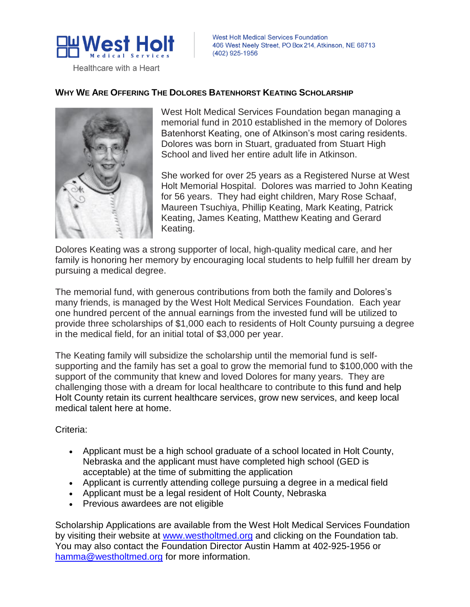

Healthcare with a Heart

# **WHY WE ARE OFFERING THE DOLORES BATENHORST KEATING SCHOLARSHIP**



West Holt Medical Services Foundation began managing a memorial fund in 2010 established in the memory of Dolores Batenhorst Keating, one of Atkinson's most caring residents. Dolores was born in Stuart, graduated from Stuart High School and lived her entire adult life in Atkinson.

She worked for over 25 years as a Registered Nurse at West Holt Memorial Hospital. Dolores was married to John Keating for 56 years. They had eight children, Mary Rose Schaaf, Maureen Tsuchiya, Phillip Keating, Mark Keating, Patrick Keating, James Keating, Matthew Keating and Gerard Keating.

Dolores Keating was a strong supporter of local, high-quality medical care, and her family is honoring her memory by encouraging local students to help fulfill her dream by pursuing a medical degree.

The memorial fund, with generous contributions from both the family and Dolores's many friends, is managed by the West Holt Medical Services Foundation. Each year one hundred percent of the annual earnings from the invested fund will be utilized to provide three scholarships of \$1,000 each to residents of Holt County pursuing a degree in the medical field, for an initial total of \$3,000 per year.

The Keating family will subsidize the scholarship until the memorial fund is selfsupporting and the family has set a goal to grow the memorial fund to \$100,000 with the support of the community that knew and loved Dolores for many years. They are challenging those with a dream for local healthcare to contribute to this fund and help Holt County retain its current healthcare services, grow new services, and keep local medical talent here at home.

Criteria:

- Applicant must be a high school graduate of a school located in Holt County, Nebraska and the applicant must have completed high school (GED is acceptable) at the time of submitting the application
- Applicant is currently attending college pursuing a degree in a medical field
- Applicant must be a legal resident of Holt County, Nebraska
- Previous awardees are not eligible

Scholarship Applications are available from the West Holt Medical Services Foundation by visiting their website at [www.westholtmed.org](http://www.westholtmed.org/) and clicking on the Foundation tab. You may also contact the Foundation Director Austin Hamm at 402-925-1956 or [hamma@westholtmed.org](mailto:hamma@westholtmed.org) for more information.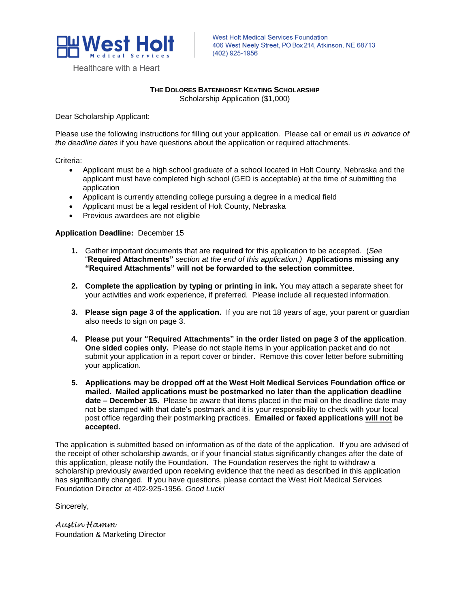

Healthcare with a Heart

West Holt Medical Services Foundation 406 West Neely Street, PO Box 214, Atkinson, NE 68713 (402) 925-1956

# **THE DOLORES BATENHORST KEATING SCHOLARSHIP**

Scholarship Application (\$1,000)

Dear Scholarship Applicant:

Please use the following instructions for filling out your application. Please call or email us *in advance of the deadline dates* if you have questions about the application or required attachments.

Criteria:

- Applicant must be a high school graduate of a school located in Holt County, Nebraska and the applicant must have completed high school (GED is acceptable) at the time of submitting the application
- Applicant is currently attending college pursuing a degree in a medical field
- Applicant must be a legal resident of Holt County, Nebraska
- Previous awardees are not eligible

#### **Application Deadline:** December 15

- **1.** Gather important documents that are **required** for this application to be accepted. (*See*  "**Required Attachments"** *section at the end of this application.)* **Applications missing any "Required Attachments" will not be forwarded to the selection committee**.
- **2. Complete the application by typing or printing in ink.** You may attach a separate sheet for your activities and work experience, if preferred. Please include all requested information.
- **3. Please sign page 3 of the application.** If you are not 18 years of age, your parent or guardian also needs to sign on page 3.
- **4. Please put your "Required Attachments" in the order listed on page 3 of the application**. **One sided copies only.** Please do not staple items in your application packet and do not submit your application in a report cover or binder. Remove this cover letter before submitting your application.
- **5. Applications may be dropped off at the West Holt Medical Services Foundation office or mailed. Mailed applications must be postmarked no later than the application deadline date – December 15.** Please be aware that items placed in the mail on the deadline date may not be stamped with that date's postmark and it is your responsibility to check with your local post office regarding their postmarking practices. **Emailed or faxed applications will not be accepted.**

The application is submitted based on information as of the date of the application. If you are advised of the receipt of other scholarship awards, or if your financial status significantly changes after the date of this application, please notify the Foundation. The Foundation reserves the right to withdraw a scholarship previously awarded upon receiving evidence that the need as described in this application has significantly changed. If you have questions, please contact the West Holt Medical Services Foundation Director at 402-925-1956. *Good Luck!* 

Sincerely,

*Austin Hamm*  Foundation & Marketing Director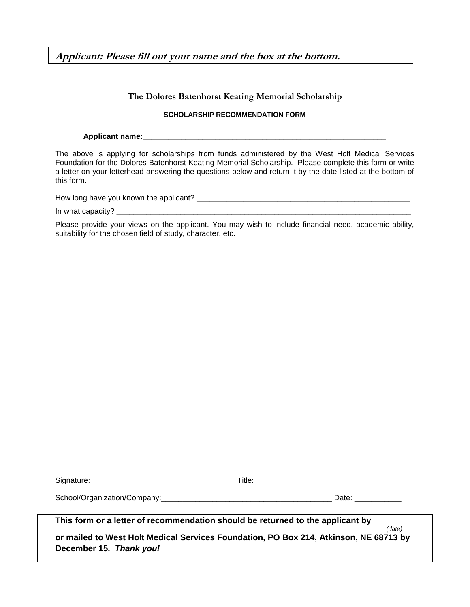**Applicant: Please fill out your name and the box at the bottom.**

## **The Dolores Batenhorst Keating Memorial Scholarship**

#### **SCHOLARSHIP RECOMMENDATION FORM**

Applicant name:

The above is applying for scholarships from funds administered by the West Holt Medical Services Foundation for the Dolores Batenhorst Keating Memorial Scholarship. Please complete this form or write a letter on your letterhead answering the questions below and return it by the date listed at the bottom of this form.

| How long have you known the applicant? |  |
|----------------------------------------|--|
|                                        |  |

In what capacity? \_\_\_\_\_\_\_\_\_\_\_\_\_\_\_\_\_\_\_\_\_\_\_\_\_\_\_\_\_\_\_\_\_\_\_\_\_\_\_\_\_\_\_\_\_\_\_\_\_\_\_\_\_\_\_\_\_\_\_\_\_\_\_\_\_\_\_\_\_

Please provide your views on the applicant. You may wish to include financial need, academic ability, suitability for the chosen field of study, character, etc.

| $\sim$<br>ּור<br>. | <br>____ |
|--------------------|----------|
|                    |          |

School/Organization/Company:\_\_\_\_\_\_\_\_\_\_\_\_\_\_\_\_\_\_\_\_\_\_\_\_\_\_\_\_\_\_\_\_\_\_\_\_\_\_\_\_ Date: \_\_\_\_\_\_\_\_\_\_\_

This form or a letter of recommendation should be returned to the applicant by \_

**or mailed to West Holt Medical Services Foundation, PO Box 214, Atkinson, NE 68713 by December 15.** *Thank you!*

*(date)*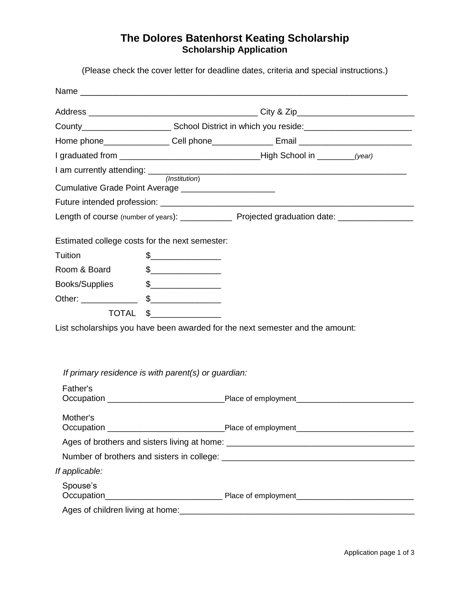# **The Dolores Batenhorst Keating Scholarship Scholarship Application**

(Please check the cover letter for deadline dates, criteria and special instructions.)

| Cumulative Grade Point Average ________________________ |                                                                                                                                                                                                                                                                                                                                                     |                                                                                       |
|---------------------------------------------------------|-----------------------------------------------------------------------------------------------------------------------------------------------------------------------------------------------------------------------------------------------------------------------------------------------------------------------------------------------------|---------------------------------------------------------------------------------------|
|                                                         |                                                                                                                                                                                                                                                                                                                                                     |                                                                                       |
|                                                         |                                                                                                                                                                                                                                                                                                                                                     |                                                                                       |
| Estimated college costs for the next semester:          |                                                                                                                                                                                                                                                                                                                                                     |                                                                                       |
| Tuition                                                 | $\begin{picture}(20,10) \put(0,0){\line(1,0){10}} \put(15,0){\line(1,0){10}} \put(15,0){\line(1,0){10}} \put(15,0){\line(1,0){10}} \put(15,0){\line(1,0){10}} \put(15,0){\line(1,0){10}} \put(15,0){\line(1,0){10}} \put(15,0){\line(1,0){10}} \put(15,0){\line(1,0){10}} \put(15,0){\line(1,0){10}} \put(15,0){\line(1,0){10}} \put(15,0){\line(1$ |                                                                                       |
| Room & Board                                            | $\begin{picture}(20,10) \put(0,0){\line(1,0){10}} \put(15,0){\line(1,0){10}} \put(15,0){\line(1,0){10}} \put(15,0){\line(1,0){10}} \put(15,0){\line(1,0){10}} \put(15,0){\line(1,0){10}} \put(15,0){\line(1,0){10}} \put(15,0){\line(1,0){10}} \put(15,0){\line(1,0){10}} \put(15,0){\line(1,0){10}} \put(15,0){\line(1,0){10}} \put(15,0){\line(1$ |                                                                                       |
| Books/Supplies                                          | $\frac{1}{2}$                                                                                                                                                                                                                                                                                                                                       |                                                                                       |
|                                                         |                                                                                                                                                                                                                                                                                                                                                     |                                                                                       |
| <b>TOTAL</b>                                            | $\frac{1}{2}$                                                                                                                                                                                                                                                                                                                                       |                                                                                       |
|                                                         |                                                                                                                                                                                                                                                                                                                                                     | List scholarships you have been awarded for the next semester and the amount:         |
|                                                         |                                                                                                                                                                                                                                                                                                                                                     |                                                                                       |
|                                                         |                                                                                                                                                                                                                                                                                                                                                     |                                                                                       |
|                                                         | If primary residence is with parent(s) or guardian:                                                                                                                                                                                                                                                                                                 |                                                                                       |
| Father's                                                |                                                                                                                                                                                                                                                                                                                                                     |                                                                                       |
|                                                         |                                                                                                                                                                                                                                                                                                                                                     |                                                                                       |
| Mother's                                                |                                                                                                                                                                                                                                                                                                                                                     |                                                                                       |
|                                                         |                                                                                                                                                                                                                                                                                                                                                     |                                                                                       |
|                                                         |                                                                                                                                                                                                                                                                                                                                                     | Number of brothers and sisters in college: Number of brothers and sisters in college: |
| If applicable:                                          |                                                                                                                                                                                                                                                                                                                                                     |                                                                                       |
| Spouse's                                                |                                                                                                                                                                                                                                                                                                                                                     |                                                                                       |
|                                                         |                                                                                                                                                                                                                                                                                                                                                     |                                                                                       |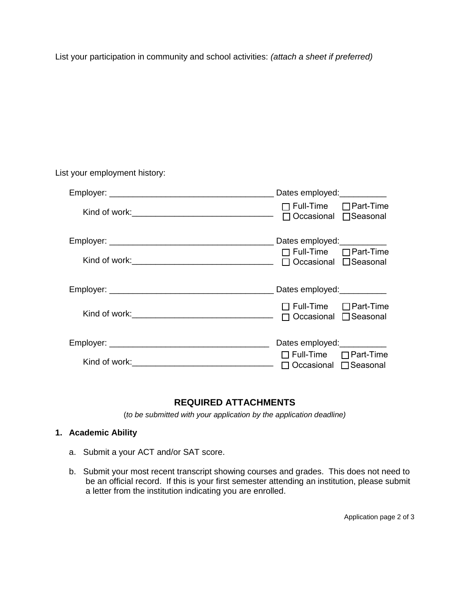List your participation in community and school activities: *(attach a sheet if preferred)*

| List your employment history: |                                                              |
|-------------------------------|--------------------------------------------------------------|
|                               |                                                              |
|                               | $\Box$ Full-Time $\Box$ Part-Time<br>□ Occasional □ Seasonal |
|                               | $\Box$ Full-Time $\Box$ Part-Time                            |
|                               |                                                              |
|                               | $\Box$ Full-Time $\Box$ Part-Time<br>□ Occasional □ Seasonal |
|                               | Dates employed:                                              |
|                               | $\Box$ Full-Time $\Box$ Part-Time<br>Occasional □ Seasonal   |

# **REQUIRED ATTACHMENTS**

(*to be submitted with your application by the application deadline)* 

## **1. Academic Ability**

- a. Submit a your ACT and/or SAT score.
- b. Submit your most recent transcript showing courses and grades. This does not need to be an official record. If this is your first semester attending an institution, please submit a letter from the institution indicating you are enrolled.

Application page 2 of 3